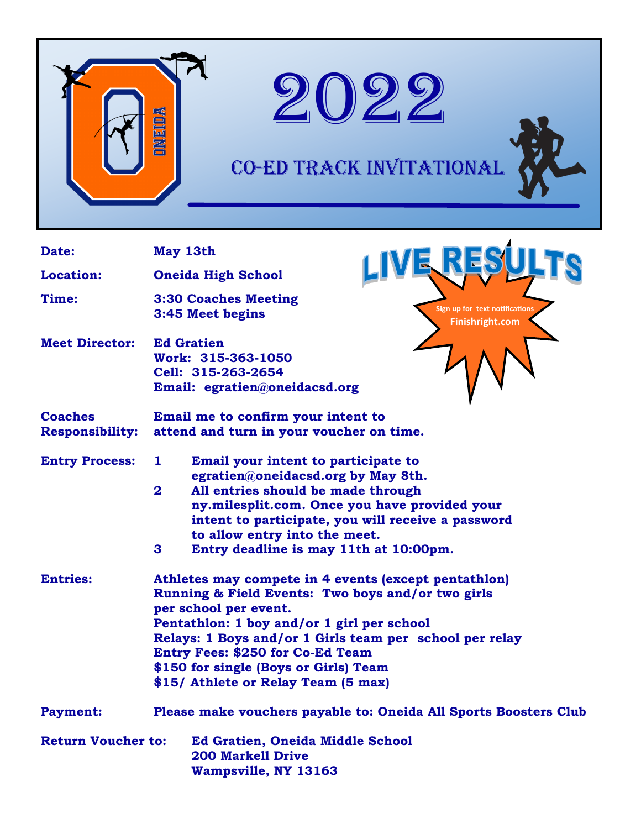



## CO-ED Track Invitational

| Date:                                    | May 13th                                                                                                                                                                                                                                                                                                                                                               |                                                   |  |
|------------------------------------------|------------------------------------------------------------------------------------------------------------------------------------------------------------------------------------------------------------------------------------------------------------------------------------------------------------------------------------------------------------------------|---------------------------------------------------|--|
| <b>Location:</b>                         | <b>Oneida High School</b>                                                                                                                                                                                                                                                                                                                                              |                                                   |  |
| Time:                                    | <b>3:30 Coaches Meeting</b><br>3:45 Meet begins                                                                                                                                                                                                                                                                                                                        | Sign up for text notifications<br>Finishright.com |  |
| <b>Meet Director:</b>                    | <b>Ed Gratien</b><br>Work: 315-363-1050<br>Cell: 315-263-2654<br>Email: egratien@oneidacsd.org                                                                                                                                                                                                                                                                         |                                                   |  |
| <b>Coaches</b><br><b>Responsibility:</b> | Email me to confirm your intent to<br>attend and turn in your voucher on time.                                                                                                                                                                                                                                                                                         |                                                   |  |
| <b>Entry Process:</b>                    | Email your intent to participate to<br>ı<br>egratien@oneidacsd.org by May 8th.<br>$\mathbf{2}$<br>All entries should be made through<br>ny.milesplit.com. Once you have provided your<br>intent to participate, you will receive a password<br>to allow entry into the meet.<br>3<br>Entry deadline is may 11th at 10:00pm.                                            |                                                   |  |
| <b>Entries:</b>                          | Athletes may compete in 4 events (except pentathlon)<br>Running & Field Events: Two boys and/or two girls<br>per school per event.<br>Pentathlon: 1 boy and/or 1 girl per school<br>Relays: 1 Boys and/or 1 Girls team per school per relay<br><b>Entry Fees: \$250 for Co-Ed Team</b><br>\$150 for single (Boys or Girls) Team<br>\$15/ Athlete or Relay Team (5 max) |                                                   |  |
| <b>Payment:</b>                          | Please make vouchers payable to: Oneida All Sports Boosters Club                                                                                                                                                                                                                                                                                                       |                                                   |  |
| <b>Return Voucher to:</b>                | <b>Ed Gratien, Oneida Middle School</b><br><b>200 Markell Drive</b><br>Wampsville, NY 13163                                                                                                                                                                                                                                                                            |                                                   |  |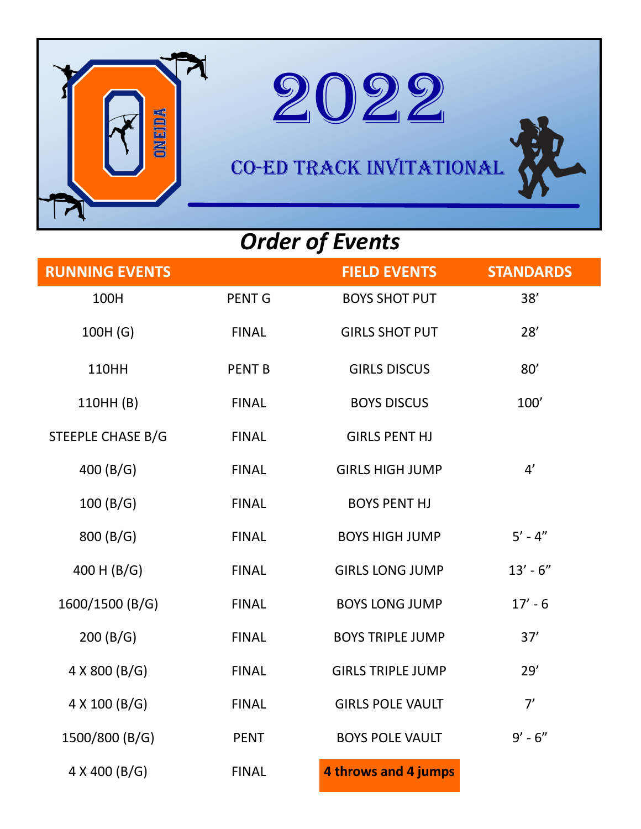



CO-ED Track Invitational

## *Order of Events*

| <b>RUNNING EVENTS</b> |               | <b>FIELD EVENTS</b>      | <b>STANDARDS</b> |
|-----------------------|---------------|--------------------------|------------------|
| 100H                  | <b>PENT G</b> | <b>BOYS SHOT PUT</b>     | 38'              |
| 100H (G)              | <b>FINAL</b>  | <b>GIRLS SHOT PUT</b>    | 28'              |
| <b>110HH</b>          | <b>PENT B</b> | <b>GIRLS DISCUS</b>      | 80'              |
| 110HH (B)             | <b>FINAL</b>  | <b>BOYS DISCUS</b>       | 100'             |
| STEEPLE CHASE B/G     | <b>FINAL</b>  | <b>GIRLS PENT HJ</b>     |                  |
| 400 (B/G)             | <b>FINAL</b>  | <b>GIRLS HIGH JUMP</b>   | 4'               |
| 100(B/G)              | <b>FINAL</b>  | <b>BOYS PENT HJ</b>      |                  |
| 800 (B/G)             | <b>FINAL</b>  | <b>BOYS HIGH JUMP</b>    | $5' - 4''$       |
| 400 H (B/G)           | <b>FINAL</b>  | <b>GIRLS LONG JUMP</b>   | $13' - 6''$      |
| 1600/1500 (B/G)       | <b>FINAL</b>  | <b>BOYS LONG JUMP</b>    | $17' - 6$        |
| 200(B/G)              | <b>FINAL</b>  | <b>BOYS TRIPLE JUMP</b>  | 37'              |
| 4 X 800 (B/G)         | <b>FINAL</b>  | <b>GIRLS TRIPLE JUMP</b> | 29'              |
| 4 X 100 (B/G)         | <b>FINAL</b>  | <b>GIRLS POLE VAULT</b>  | 7'               |
| 1500/800 (B/G)        | <b>PENT</b>   | <b>BOYS POLE VAULT</b>   | $9' - 6''$       |
| 4 X 400 (B/G)         | <b>FINAL</b>  | 4 throws and 4 jumps     |                  |